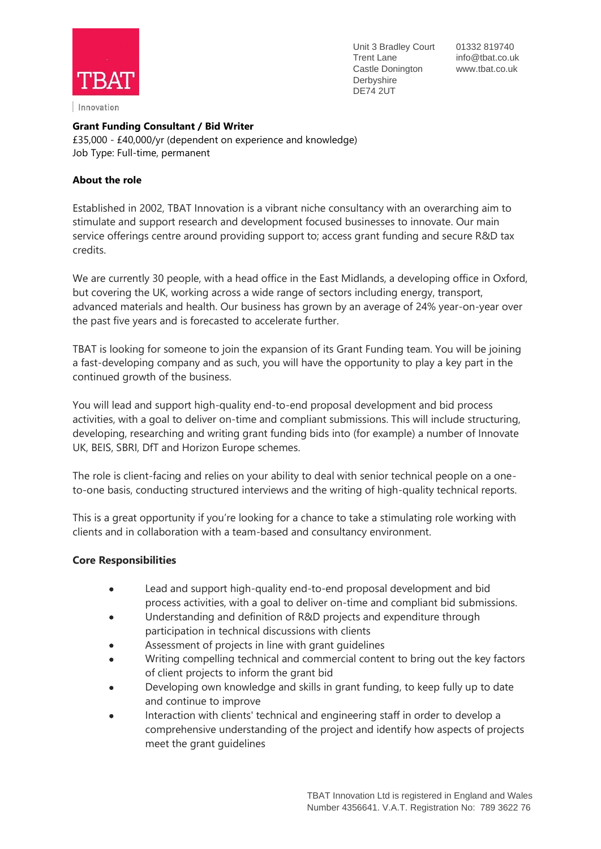

Innovation

Unit 3 Bradley Court 01332 819740 Trent Lane info@tbat.co.uk Castle Donington www.tbat.co.uk Derbyshire DE74 2UT

### **Grant Funding Consultant / Bid Writer**

£35,000 - £40,000/yr (dependent on experience and knowledge) Job Type: Full-time, permanent

### **About the role**

Established in 2002, TBAT Innovation is a vibrant niche consultancy with an overarching aim to stimulate and support research and development focused businesses to innovate. Our main service offerings centre around providing support to; access grant funding and secure R&D tax credits.

We are currently 30 people, with a head office in the East Midlands, a developing office in Oxford, but covering the UK, working across a wide range of sectors including energy, transport, advanced materials and health. Our business has grown by an average of 24% year-on-year over the past five years and is forecasted to accelerate further.

TBAT is looking for someone to join the expansion of its Grant Funding team. You will be joining a fast-developing company and as such, you will have the opportunity to play a key part in the continued growth of the business.

You will lead and support high-quality end-to-end proposal development and bid process activities, with a goal to deliver on-time and compliant submissions. This will include structuring, developing, researching and writing grant funding bids into (for example) a number of Innovate UK, BEIS, SBRI, DfT and Horizon Europe schemes.

The role is client-facing and relies on your ability to deal with senior technical people on a oneto-one basis, conducting structured interviews and the writing of high-quality technical reports.

This is a great opportunity if you're looking for a chance to take a stimulating role working with clients and in collaboration with a team-based and consultancy environment.

## **Core Responsibilities**

- Lead and support high-quality end-to-end proposal development and bid process activities, with a goal to deliver on-time and compliant bid submissions.
- Understanding and definition of R&D projects and expenditure through participation in technical discussions with clients
- Assessment of projects in line with grant guidelines
- Writing compelling technical and commercial content to bring out the key factors of client projects to inform the grant bid
- Developing own knowledge and skills in grant funding, to keep fully up to date and continue to improve
- Interaction with clients' technical and engineering staff in order to develop a comprehensive understanding of the project and identify how aspects of projects meet the grant guidelines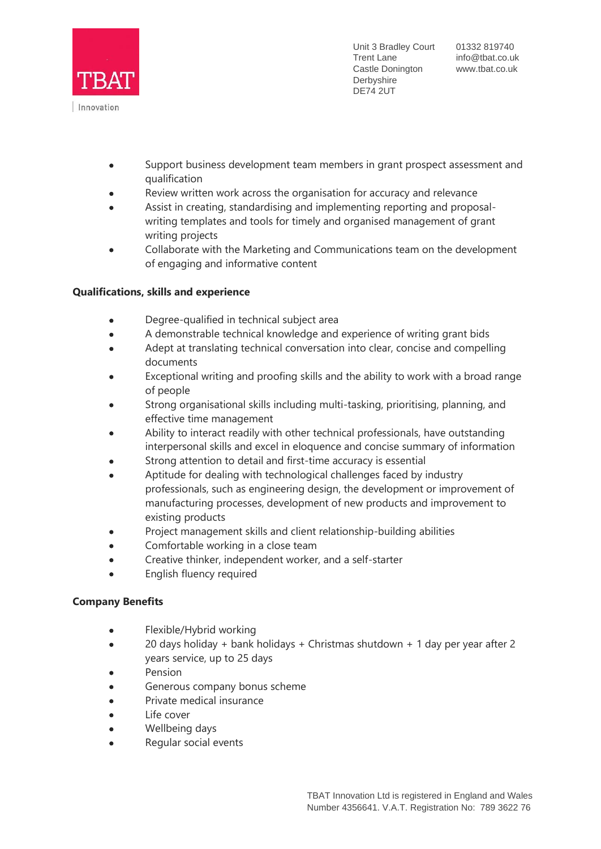

Unit 3 Bradley Court 01332 819740 Trent Lane info@tbat.co.uk Castle Donington www.tbat.co.uk Derbyshire DE74 2UT

- Support business development team members in grant prospect assessment and qualification
- Review written work across the organisation for accuracy and relevance
- Assist in creating, standardising and implementing reporting and proposalwriting templates and tools for timely and organised management of grant writing projects
- Collaborate with the Marketing and Communications team on the development of engaging and informative content

## **Qualifications, skills and experience**

- Degree-qualified in technical subject area
- A demonstrable technical knowledge and experience of writing grant bids
- Adept at translating technical conversation into clear, concise and compelling documents
- Exceptional writing and proofing skills and the ability to work with a broad range of people
- Strong organisational skills including multi-tasking, prioritising, planning, and effective time management
- Ability to interact readily with other technical professionals, have outstanding interpersonal skills and excel in eloquence and concise summary of information
- Strong attention to detail and first-time accuracy is essential
- Aptitude for dealing with technological challenges faced by industry professionals, such as engineering design, the development or improvement of manufacturing processes, development of new products and improvement to existing products
- Project management skills and client relationship-building abilities
- Comfortable working in a close team
- Creative thinker, independent worker, and a self-starter
- English fluency required

#### **Company Benefits**

- Flexible/Hybrid working
- 20 days holiday + bank holidays + Christmas shutdown + 1 day per year after 2 years service, up to 25 days
- Pension
- Generous company bonus scheme
- Private medical insurance
- Life cover
- Wellbeing days
- Regular social events